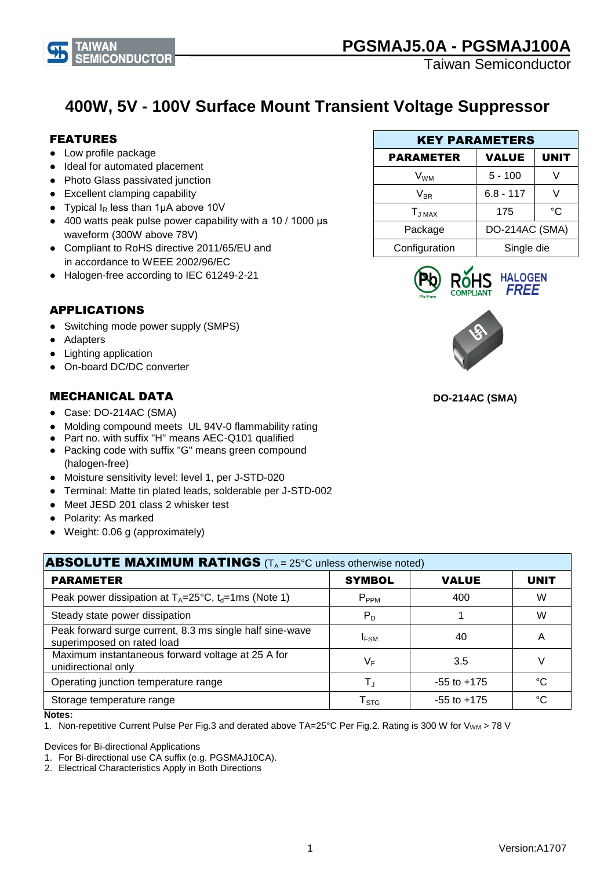

# **400W, 5V - 100V Surface Mount Transient Voltage Suppressor**

### FEATURES

- Low profile package
- Ideal for automated placement
- Photo Glass passivated junction
- Excellent clamping capability
- Typical  $I_R$  less than 1µA above 10V
- 400 watts peak pulse power capability with a 10 / 1000 μs waveform (300W above 78V)
- Compliant to RoHS directive 2011/65/EU and in accordance to WEEE 2002/96/EC
- Halogen-free according to IEC 61249-2-21

### APPLICATIONS

- Switching mode power supply (SMPS)
- Adapters
- Lighting application
- On-board DC/DC converter

### MECHANICAL DATA

- Case: DO-214AC (SMA)
- Molding compound meets UL 94V-0 flammability rating
- Part no. with suffix "H" means AEC-Q101 qualified
- Packing code with suffix "G" means green compound (halogen-free)
- Moisture sensitivity level: level 1, per J-STD-020
- Terminal: Matte tin plated leads, solderable per J-STD-002
- Meet JESD 201 class 2 whisker test
- Polarity: As marked
- Weight: 0.06 g (approximately)

| <b>ABSOLUTE MAXIMUM RATINGS</b> ( $T_A = 25^\circ$ C unless otherwise noted)           |                        |                 |             |
|----------------------------------------------------------------------------------------|------------------------|-----------------|-------------|
| <b>PARAMETER</b>                                                                       | <b>SYMBOL</b>          | <b>VALUE</b>    | <b>UNIT</b> |
| Peak power dissipation at $T_A = 25^{\circ}C$ , $t_d = 1$ ms (Note 1)                  | $P_{PPM}$              | 400             | W           |
| Steady state power dissipation                                                         | $P_D$                  |                 | W           |
| Peak forward surge current, 8.3 ms single half sine-wave<br>superimposed on rated load | <b>IFSM</b>            | 40              | A           |
| Maximum instantaneous forward voltage at 25 A for<br>unidirectional only               | VF                     | 3.5             |             |
| Operating junction temperature range                                                   | T,                     | $-55$ to $+175$ | °C          |
| Storage temperature range                                                              | ${\sf T}_{\text{STG}}$ | $-55$ to $+175$ | °C          |

#### **Notes:**

1. Non-repetitive Current Pulse Per Fig.3 and derated above TA=25°C Per Fig.2. Rating is 300 W for V<sub>WM</sub> > 78 V

Devices for Bi-directional Applications

1. For Bi-directional use CA suffix (e.g. PGSMAJ10CA).

2. Electrical Characteristics Apply in Both Directions

|                  | <b>KEY PARAMETERS</b> |             |
|------------------|-----------------------|-------------|
| <b>PARAMETER</b> | <b>VALUE</b>          | <b>UNIT</b> |
| V <sub>wм</sub>  | $5 - 100$             |             |
| $V_{BR}$         | $6.8 - 117$           |             |
| $T_{JMAX}$       | 175                   | °C          |
| Package          | DO-214AC (SMA)        |             |
| Configuration    | Single die            |             |





 **DO-214AC (SMA)**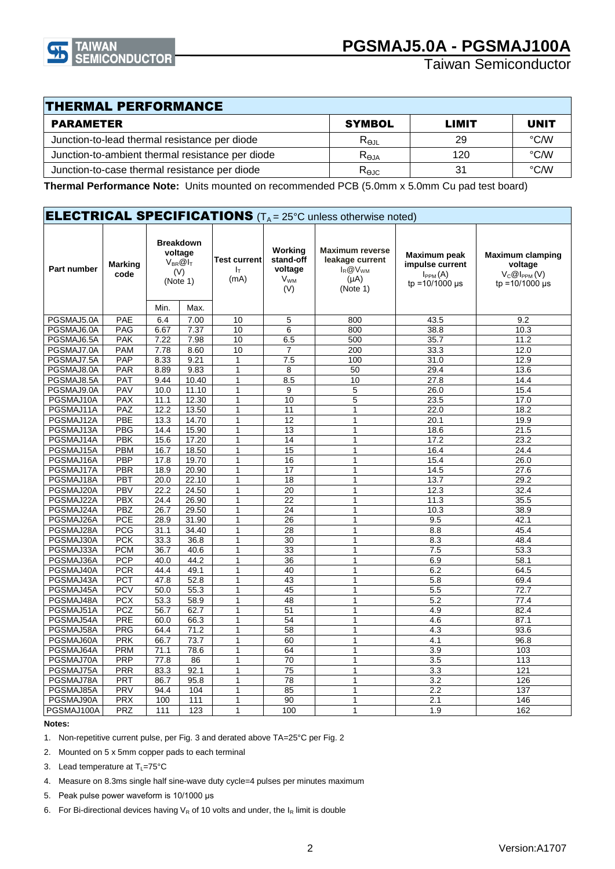

### THERMAL PERFORMANCE

| PARAMETER                                        | <b>SYMBOL</b>                  | LIMIT | <b>UNIT</b> |
|--------------------------------------------------|--------------------------------|-------|-------------|
| Junction-to-lead thermal resistance per diode    | $R_{\Theta JL}$                | 29    | °C/W        |
| Junction-to-ambient thermal resistance per diode | $\mathsf{R}_\mathsf{AJA}$      | 120   | °C/W        |
| Junction-to-case thermal resistance per diode    | $\mathsf{R}_{\Theta\text{JC}}$ | 31    | °C/W        |

**Thermal Performance Note:** Units mounted on recommended PCB (5.0mm x 5.0mm Cu pad test board)

|                    |                        |      |                                                                    |                             |                                                                 | <b>ELECTRICAL SPECIFICATIONS</b> (T <sub>A</sub> = 25°C unless otherwise noted)      |                                                                                       |                                                                                 |
|--------------------|------------------------|------|--------------------------------------------------------------------|-----------------------------|-----------------------------------------------------------------|--------------------------------------------------------------------------------------|---------------------------------------------------------------------------------------|---------------------------------------------------------------------------------|
| <b>Part number</b> | <b>Marking</b><br>code |      | <b>Breakdown</b><br>voltage<br>$V_{BR}$ @ $I_T$<br>(V)<br>(Note 1) | Test current<br>ΙŢ.<br>(mA) | Working<br>stand-off<br>voltage<br><b>V<sub>WM</sub></b><br>(V) | <b>Maximum reverse</b><br>leakage current<br>$I_R @ V_{WM}$<br>$(\mu A)$<br>(Note 1) | Maximum peak<br>impulse current<br>$I_{PPM}(A)$<br>$tp = 10/1000 \text{ }\mu\text{s}$ | <b>Maximum clamping</b><br>voltage<br>$V_{C}$ @ $I_{PPM}$ (V)<br>tp =10/1000 us |
|                    |                        | Min. | Max.                                                               |                             |                                                                 |                                                                                      |                                                                                       |                                                                                 |
| PGSMAJ5.0A         | <b>PAE</b>             | 6.4  | 7.00                                                               | 10                          | 5                                                               | 800                                                                                  | 43.5                                                                                  | 9.2                                                                             |
| PGSMAJ6.0A         | PAG                    | 6.67 | 7.37                                                               | 10                          | 6                                                               | 800                                                                                  | 38.8                                                                                  | 10.3                                                                            |
| PGSMAJ6.5A         | <b>PAK</b>             | 7.22 | 7.98                                                               | 10                          | 6.5                                                             | 500                                                                                  | 35.7                                                                                  | 11.2                                                                            |
| PGSMAJ7.0A         | <b>PAM</b>             | 7.78 | 8.60                                                               | 10                          | $\overline{7}$                                                  | 200                                                                                  | 33.3                                                                                  | 12.0                                                                            |
| PGSMAJ7.5A         | PAP                    | 8.33 | 9.21                                                               | $\mathbf{1}$                | 7.5                                                             | 100                                                                                  | 31.0                                                                                  | 12.9                                                                            |
| PGSMAJ8.0A         | PAR                    | 8.89 | 9.83                                                               | $\mathbf{1}$                | 8                                                               | 50                                                                                   | 29.4                                                                                  | 13.6                                                                            |
| PGSMAJ8.5A         | <b>PAT</b>             | 9.44 | 10.40                                                              | 1                           | 8.5                                                             | 10                                                                                   | 27.8                                                                                  | 14.4                                                                            |
| PGSMAJ9.0A         | <b>PAV</b>             | 10.0 | 11.10                                                              | 1                           | 9                                                               | 5                                                                                    | 26.0                                                                                  | 15.4                                                                            |
| PGSMAJ10A          | <b>PAX</b>             | 11.1 | 12.30                                                              | 1                           | 10                                                              | 5                                                                                    | 23.5                                                                                  | 17.0                                                                            |
| PGSMAJ11A          | PAZ                    | 12.2 | 13.50                                                              | 1                           | 11                                                              | $\overline{1}$                                                                       | 22.0                                                                                  | 18.2                                                                            |
| PGSMAJ12A          | PBE                    | 13.3 | 14.70                                                              | 1                           | 12                                                              | $\mathbf{1}$                                                                         | 20.1                                                                                  | 19.9                                                                            |
| PGSMAJ13A          | <b>PBG</b>             | 14.4 | 15.90                                                              | $\mathbf{1}$                | 13                                                              | $\overline{1}$                                                                       | 18.6                                                                                  | 21.5                                                                            |
| PGSMAJ14A          | <b>PBK</b>             | 15.6 | 17.20                                                              | 1                           | 14                                                              | $\mathbf{1}$                                                                         | 17.2                                                                                  | 23.2                                                                            |
| PGSMAJ15A          | PBM                    | 16.7 | 18.50                                                              | $\mathbf{1}$                | 15                                                              | $\mathbf{1}$                                                                         | 16.4                                                                                  | 24.4                                                                            |
| PGSMAJ16A          | PBP                    | 17.8 | 19.70                                                              | $\mathbf{1}$                | 16                                                              | $\mathbf{1}$                                                                         | 15.4                                                                                  | 26.0                                                                            |
| PGSMAJ17A          | PBR                    | 18.9 | 20.90                                                              | 1                           | 17                                                              | $\mathbf{1}$                                                                         | 14.5                                                                                  | 27.6                                                                            |
| PGSMAJ18A          | PBT                    | 20.0 | 22.10                                                              | $\mathbf{1}$                | 18                                                              | $\mathbf{1}$                                                                         | 13.7                                                                                  | 29.2                                                                            |
| PGSMAJ20A          | <b>PBV</b>             | 22.2 | 24.50                                                              | $\mathbf{1}$                | 20                                                              | $\mathbf{1}$                                                                         | 12.3                                                                                  | 32.4                                                                            |
| PGSMAJ22A          | <b>PBX</b>             | 24.4 | 26.90                                                              | 1                           | 22                                                              | 1                                                                                    | 11.3                                                                                  | 35.5                                                                            |
| PGSMAJ24A          | <b>PBZ</b>             | 26.7 | 29.50                                                              | $\mathbf{1}$                | $\overline{24}$                                                 | 1                                                                                    | 10.3                                                                                  | 38.9                                                                            |
| PGSMAJ26A          | <b>PCE</b>             | 28.9 | 31.90                                                              | 1                           | 26                                                              | 1                                                                                    | 9.5                                                                                   | 42.1                                                                            |
| PGSMAJ28A          | <b>PCG</b>             | 31.1 | 34.40                                                              | 1                           | 28                                                              | $\mathbf{1}$                                                                         | 8.8                                                                                   | 45.4                                                                            |
| PGSMAJ30A          | <b>PCK</b>             | 33.3 | 36.8                                                               | 1                           | 30                                                              | $\mathbf{1}$                                                                         |                                                                                       |                                                                                 |
|                    | <b>PCM</b>             |      |                                                                    |                             |                                                                 |                                                                                      | 8.3                                                                                   | 48.4                                                                            |
| PGSMAJ33A          |                        | 36.7 | 40.6                                                               | $\mathbf{1}$                | 33                                                              | $\mathbf{1}$                                                                         | 7.5                                                                                   | 53.3                                                                            |
| PGSMAJ36A          | <b>PCP</b>             | 40.0 | 44.2                                                               | 1                           | 36                                                              | $\mathbf{1}$                                                                         | 6.9                                                                                   | 58.1                                                                            |
| PGSMAJ40A          | <b>PCR</b>             | 44.4 | 49.1                                                               | $\mathbf{1}$                | 40                                                              | 1                                                                                    | 6.2                                                                                   | 64.5                                                                            |
| PGSMAJ43A          | <b>PCT</b>             | 47.8 | 52.8                                                               | $\mathbf{1}$                | 43                                                              | 1                                                                                    | 5.8                                                                                   | 69.4                                                                            |
| PGSMAJ45A          | <b>PCV</b>             | 50.0 | 55.3                                                               | $\mathbf{1}$                | 45                                                              | 1                                                                                    | 5.5                                                                                   | 72.7                                                                            |
| PGSMAJ48A          | <b>PCX</b>             | 53.3 | 58.9                                                               | $\mathbf{1}$                | 48                                                              | $\mathbf{1}$                                                                         | 5.2                                                                                   | 77.4                                                                            |
| PGSMAJ51A          | PCZ                    | 56.7 | 62.7                                                               | 1                           | 51                                                              | $\mathbf{1}$                                                                         | 4.9                                                                                   | 82.4                                                                            |
| PGSMAJ54A          | PRE                    | 60.0 | 66.3                                                               | 1                           | 54                                                              | $\mathbf{1}$                                                                         | 4.6                                                                                   | 87.1                                                                            |
| PGSMAJ58A          | PRG                    | 64.4 | 71.2                                                               | 1                           | $\overline{58}$                                                 | $\mathbf{1}$                                                                         | 4.3                                                                                   | 93.6                                                                            |
| PGSMAJ60A          | <b>PRK</b>             | 66.7 | 73.7                                                               | 1                           | 60                                                              | $\mathbf{1}$                                                                         | 4.1                                                                                   | 96.8                                                                            |
| PGSMAJ64A          | <b>PRM</b>             | 71.1 | 78.6                                                               | 1                           | 64                                                              | $\mathbf{1}$                                                                         | 3.9                                                                                   | 103                                                                             |
| PGSMAJ70A          | PRP                    | 77.8 | 86                                                                 | 1                           | 70                                                              | $\mathbf{1}$                                                                         | 3.5                                                                                   | 113                                                                             |
| PGSMAJ75A          | <b>PRR</b>             | 83.3 | 92.1                                                               | 1                           | $\overline{75}$                                                 | $\mathbf{1}$                                                                         | 3.3                                                                                   | 121                                                                             |
| PGSMAJ78A          | PRT                    | 86.7 | 95.8                                                               | $\mathbf{1}$                | 78                                                              | $\mathbf{1}$                                                                         | 3.2                                                                                   | 126                                                                             |
| PGSMAJ85A          | PRV                    | 94.4 | 104                                                                | 1                           | 85                                                              | 1                                                                                    | 2.2                                                                                   | 137                                                                             |
| PGSMAJ90A          | <b>PRX</b>             | 100  | 111                                                                | 1                           | $\overline{90}$                                                 | $\overline{1}$                                                                       | 2.1                                                                                   | 146                                                                             |
| PGSMAJ100A         | <b>PRZ</b>             | 111  | 123                                                                | 1                           | 100                                                             | 1                                                                                    | 1.9                                                                                   | 162                                                                             |

**Notes:**

1. Non-repetitive current pulse, per Fig. 3 and derated above TA=25°C per Fig. 2

- 2. Mounted on 5 x 5mm copper pads to each terminal
- 3. Lead temperature at  $T_L = 75^{\circ}C$
- 4. Measure on 8.3ms single half sine-wave duty cycle=4 pulses per minutes maximum
- 5. Peak pulse power waveform is 10/1000 μs
- 6. For Bi-directional devices having  $V_R$  of 10 volts and under, the  $I_R$  limit is double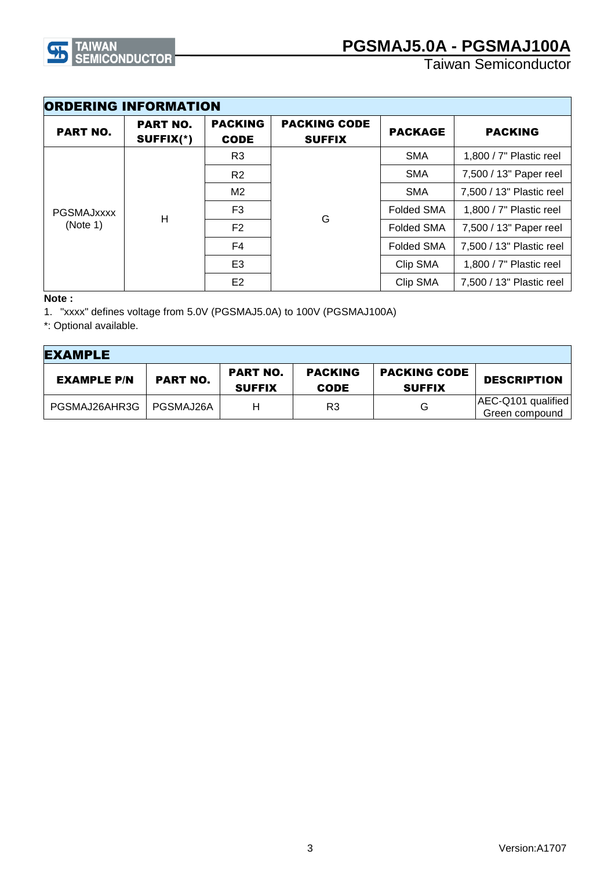

| <b>ORDERING INFORMATION</b>        |                              |                               |                                      |                        |                           |
|------------------------------------|------------------------------|-------------------------------|--------------------------------------|------------------------|---------------------------|
| <b>PART NO.</b>                    | <b>PART NO.</b><br>SUFFIX(*) | <b>PACKING</b><br><b>CODE</b> | <b>PACKING CODE</b><br><b>SUFFIX</b> | <b>PACKAGE</b>         | <b>PACKING</b>            |
|                                    |                              | R3                            |                                      | <b>SMA</b>             | 1,800 / $7"$ Plastic reel |
| <b>PGSMAJXXXX</b><br>Н<br>(Note 1) | R <sub>2</sub>               |                               | <b>SMA</b>                           | 7,500 / 13" Paper reel |                           |
|                                    |                              | M2                            | G                                    | <b>SMA</b>             | 7,500 / 13" Plastic reel  |
|                                    |                              | F <sub>3</sub>                |                                      | <b>Folded SMA</b>      | 1,800 / 7" Plastic reel   |
|                                    | F <sub>2</sub>               |                               | <b>Folded SMA</b>                    | 7,500 / 13" Paper reel |                           |
|                                    |                              | F <sub>4</sub>                |                                      | <b>Folded SMA</b>      | 7,500 / 13" Plastic reel  |
|                                    |                              | E <sub>3</sub>                |                                      | Clip SMA               | 1,800 / 7" Plastic reel   |
|                                    |                              | E <sub>2</sub>                |                                      | Clip SMA               | 7,500 / 13" Plastic reel  |

#### **Note :**

1. "xxxx" defines voltage from 5.0V (PGSMAJ5.0A) to 100V (PGSMAJ100A)

\*: Optional available.

| <b>EXAMPLE</b>     |                 |                                  |                               |                                      |                                      |
|--------------------|-----------------|----------------------------------|-------------------------------|--------------------------------------|--------------------------------------|
| <b>EXAMPLE P/N</b> | <b>PART NO.</b> | <b>PART NO.</b><br><b>SUFFIX</b> | <b>PACKING</b><br><b>CODE</b> | <b>PACKING CODE</b><br><b>SUFFIX</b> | <b>DESCRIPTION</b>                   |
| PGSMAJ26AHR3G      | PGSMAJ26A       | н                                | R3                            | G                                    | AEC-Q101 qualified<br>Green compound |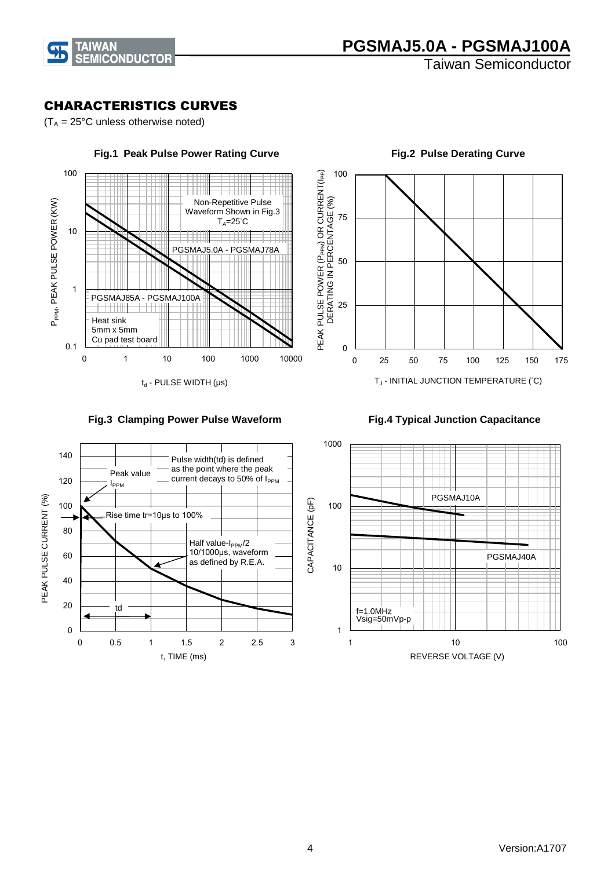

### CHARACTERISTICS CURVES

 $(T_A = 25^{\circ}C$  unless otherwise noted)







0 25 50 75 100 0 25 50 75 100 125 150 175 PEAK PULSE POWER (PPPM) OR CURRENT(IPP) DERATING IN PERCENTAGE (%)

 ${\sf T}_{\sf J}$  - INITIAL JUNCTION TEMPERATURE (°C)



 **Fig.2 Pulse Derating Curve**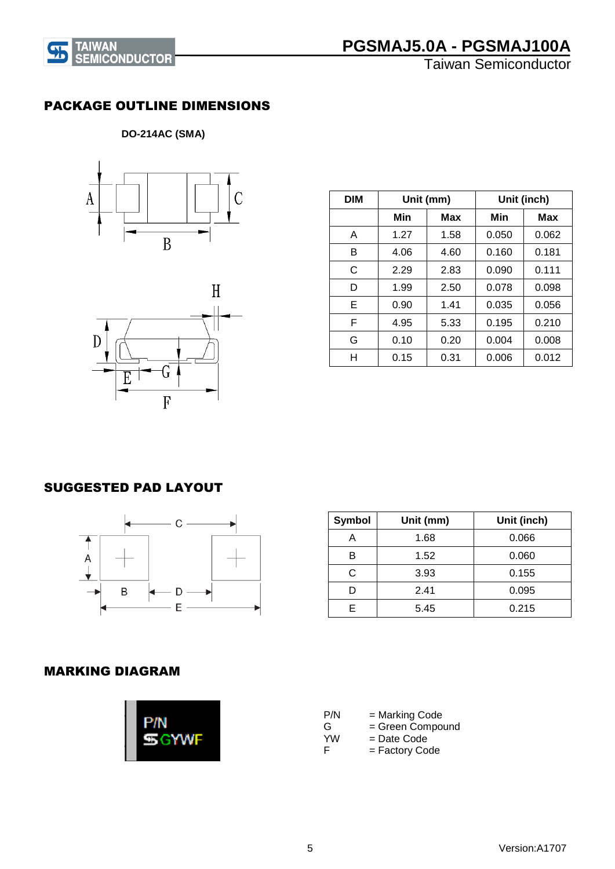

## **PGSMAJ5.0A - PGSMAJ100A**

Taiwan Semiconductor

### PACKAGE OUTLINE DIMENSIONS

### **DO-214AC (SMA)**





| <b>DIM</b> | Unit (mm) |      |       | Unit (inch) |
|------------|-----------|------|-------|-------------|
|            | Min       | Max  | Min   | Max         |
| A          | 1.27      | 1.58 | 0.050 | 0.062       |
| в          | 4.06      | 4.60 | 0.160 | 0.181       |
| C          | 2.29      | 2.83 | 0.090 | 0.111       |
| D          | 1.99      | 2.50 | 0.078 | 0.098       |
| Е          | 0.90      | 1.41 | 0.035 | 0.056       |
| F          | 4.95      | 5.33 | 0.195 | 0.210       |
| G          | 0.10      | 0.20 | 0.004 | 0.008       |
| н          | 0.15      | 0.31 | 0.006 | 0.012       |

### SUGGESTED PAD LAYOUT



| <b>Symbol</b> | Unit (mm) | Unit (inch) |
|---------------|-----------|-------------|
|               | 1.68      | 0.066       |
| R             | 1.52      | 0.060       |
| C             | 3.93      | 0.155       |
|               | 2.41      | 0.095       |
| F             | 5.45      | 0.215       |

#### MARKING DIAGRAM



| P/N       | = Marking Code   |
|-----------|------------------|
| G         | = Green Compound |
| <b>YW</b> | = Date Code      |
| E         | = Factory Code   |